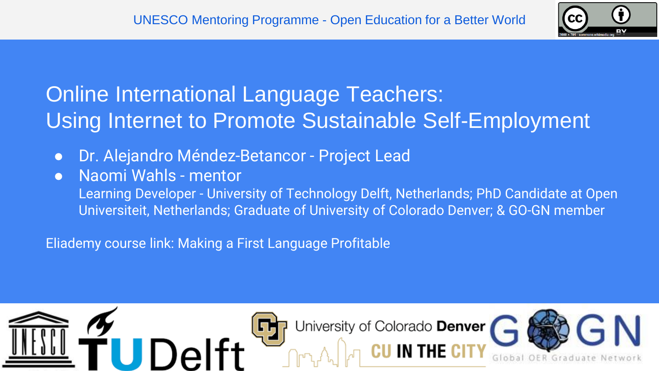

#### Online International Language Teachers: Using Internet to Promote Sustainable Self-Employment

- Dr. Alejandro Méndez-Betancor Project Lead
- Naomi Wahls mentor

Learning Developer - University of Technology Delft, Netherlands; PhD Candidate at Open Universiteit, Netherlands; Graduate of University of Colorado Denver; & GO-GN member

Eliademy course link: Making a First Language Profitable

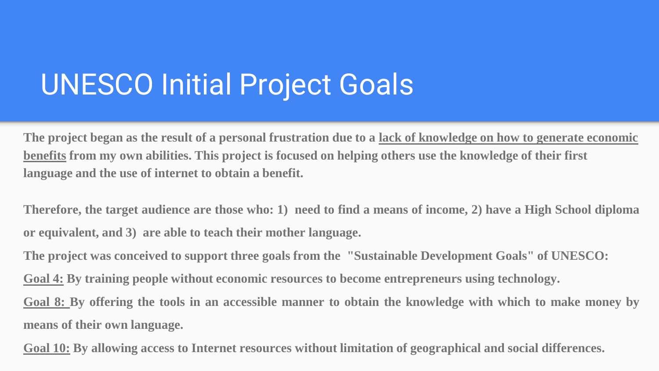## UNESCO Initial Project Goals

**The project began as the result of a personal frustration due to a lack of knowledge on how to generate economic benefits from my own abilities. This project is focused on helping others use the knowledge of their first language and the use of internet to obtain a benefit.**

Therefore, the target audience are those who: 1) need to find a means of income, 2) have a High School diploma **or equivalent, and 3) are able to teach their mother language.**

**The project was conceived to support three goals from the "Sustainable Development Goals" of UNESCO:**

**Goal 4: By training people without economic resources to become entrepreneurs using technology.**

Goal 8: By offering the tools in an accessible manner to obtain the knowledge with which to make money by **means of their own language.**

**Goal 10: By allowing access to Internet resources without limitation of geographical and social differences.**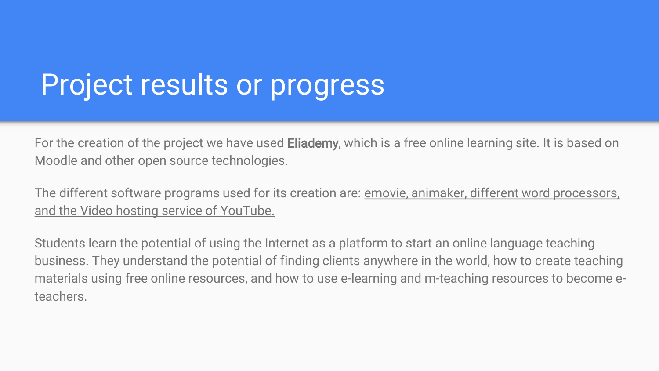# Project results or progress

For the creation of the project we have used **Eliademy**, which is a free online learning site. It is based on Moodle and other open source technologies.

The different software programs used for its creation are: <u>emovie, animaker, different word processors</u>, and the Video hosting service of YouTube.

Students learn the potential of using the Internet as a platform to start an online language teaching business. They understand the potential of finding clients anywhere in the world, how to create teaching materials using free online resources, and how to use e-learning and m-teaching resources to become eteachers.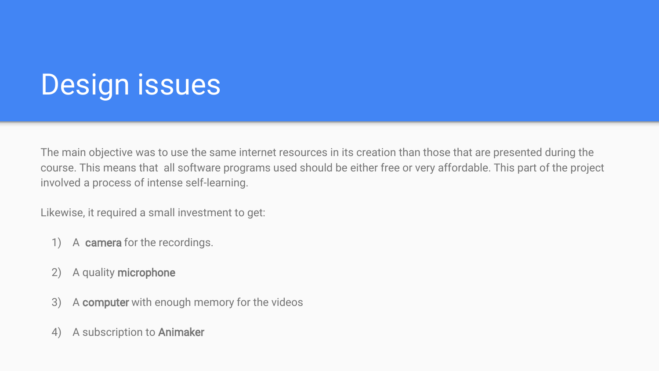## Design issues

The main objective was to use the same internet resources in its creation than those that are presented during the course. This means that all software programs used should be either free or very affordable. This part of the project involved a process of intense self-learning.

Likewise, it required a small investment to get:

- 1) A camera for the recordings.
- 2) A quality microphone
- 3) A computer with enough memory for the videos
- 4) A subscription to Animaker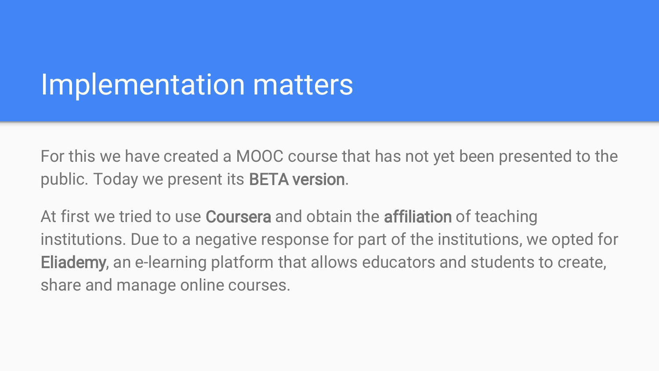### Implementation matters

For this we have created a MOOC course that has not yet been presented to the public. Today we present its BETA version.

At first we tried to use Coursera and obtain the affiliation of teaching institutions. Due to a negative response for part of the institutions, we opted for Eliademy, an e-learning platform that allows educators and students to create, share and manage online courses.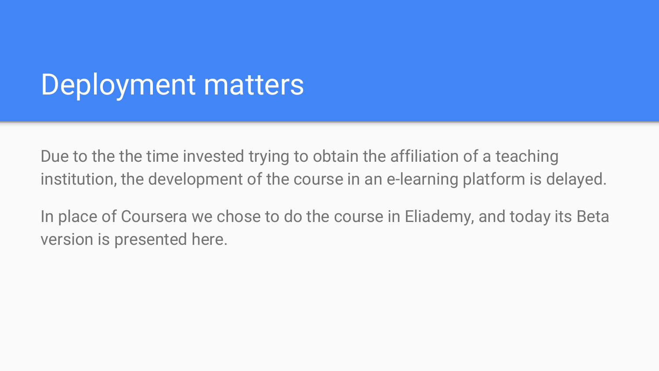## Deployment matters

Due to the the time invested trying to obtain the affiliation of a teaching institution, the development of the course in an e-learning platform is delayed.

In place of Coursera we chose to do the course in Eliademy, and today its Beta version is presented here.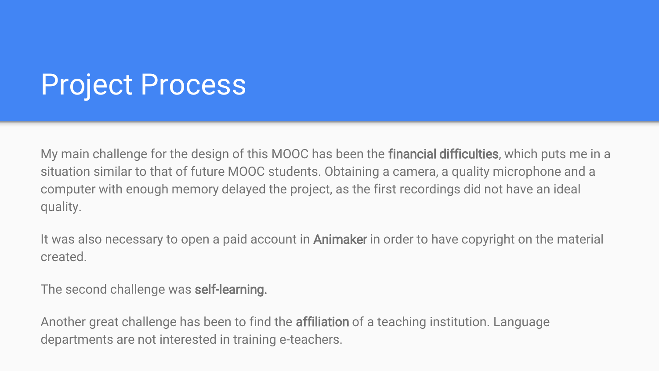# Project Process

My main challenge for the design of this MOOC has been the financial difficulties, which puts me in a situation similar to that of future MOOC students. Obtaining a camera, a quality microphone and a computer with enough memory delayed the project, as the first recordings did not have an ideal quality.

It was also necessary to open a paid account in **Animaker** in order to have copyright on the material created.

The second challenge was self-learning.

Another great challenge has been to find the affiliation of a teaching institution. Language departments are not interested in training e-teachers.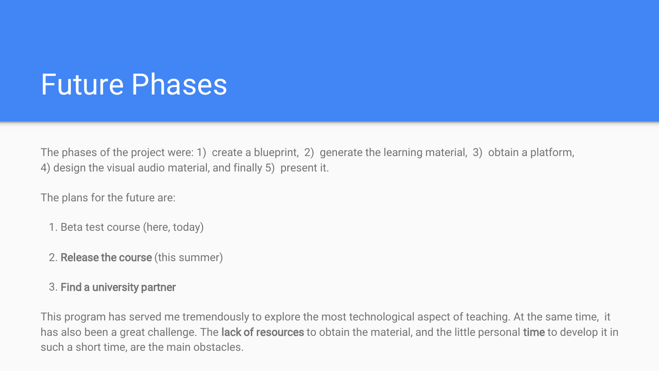## Future Phases

The phases of the project were: 1) create a blueprint, 2) generate the learning material, 3) obtain a platform, 4) design the visual audio material, and finally 5) present it.

The plans for the future are:

- 1. Beta test course (here, today)
- 2. Release the course (this summer)
- 3. Find a university partner

This program has served me tremendously to explore the most technological aspect of teaching. At the same time, it has also been a great challenge. The **lack of resources** to obtain the material, and the little personal **time** to develop it in such a short time, are the main obstacles.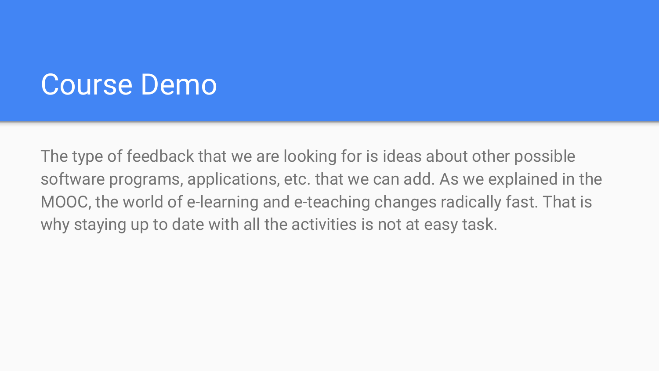#### Course Demo

The type of feedback that we are looking for is ideas about other possible software programs, applications, etc. that we can add. As we explained in the MOOC, the world of e-learning and e-teaching changes radically fast. That is why staying up to date with all the activities is not at easy task.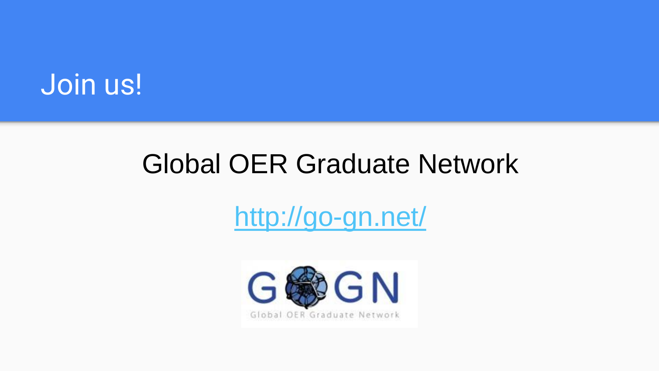#### Join us!

#### Global OER Graduate Network

### <http://go-gn.net/>

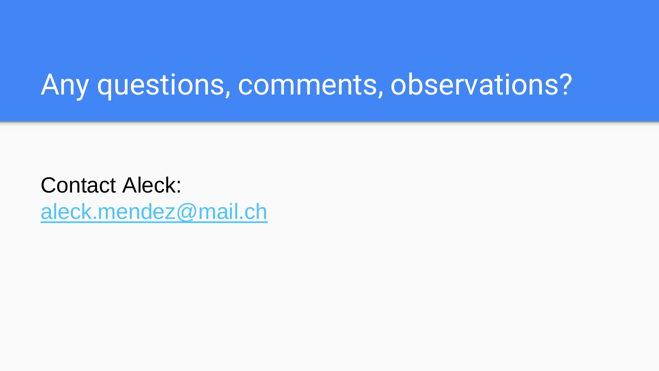## Any questions, comments, observations?

Contact Aleck: [aleck.mendez@mail.ch](mailto:aleck.mendez@mail.ch)